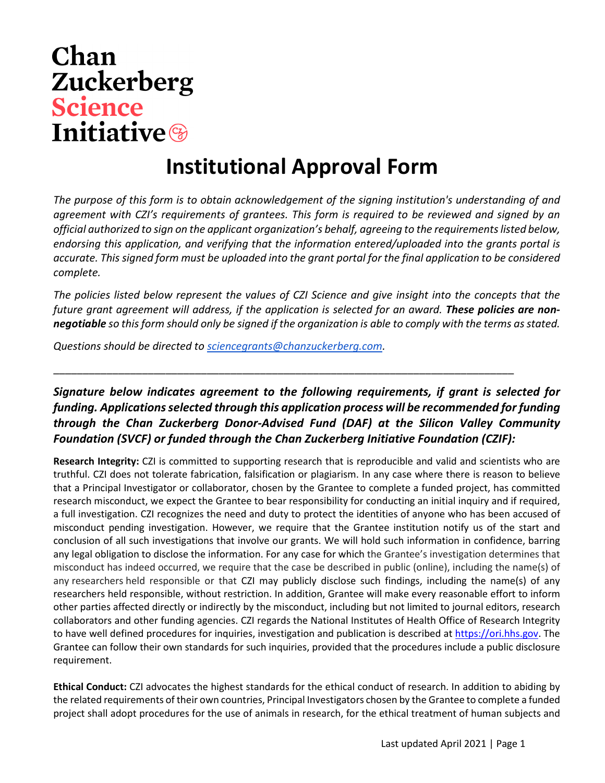## Chan **Zuckerberg Science Initiative**

## **Institutional Approval Form**

*The purpose of this form is to obtain acknowledgement of the signing institution's understanding of and agreement with CZI's requirements of grantees. This form is required to be reviewed and signed by an official authorized to sign on the applicant organization's behalf, agreeing to the requirements listed below, endorsing this application, and verifying that the information entered/uploaded into the grants portal is accurate. This signed form must be uploaded into the grant portal for the final application to be considered complete.* 

*The policies listed below represent the values of CZI Science and give insight into the concepts that the*  future grant agreement will address, if the application is selected for an award. **These policies are non***negotiable so this form should only be signed if the organization is able to comply with the terms as stated.* 

*Questions should be directed t[o sciencegrants@chanzuckerberg.com.](mailto:sciencegrants@chanzuckerberg.com)* 

## *Signature below indicates agreement to the following requirements, if grant is selected for funding. Applications selected through this application process will be recommended for funding through the Chan Zuckerberg Donor-Advised Fund (DAF) at the Silicon Valley Community Foundation (SVCF) or funded through the Chan Zuckerberg Initiative Foundation (CZIF):*

\_\_\_\_\_\_\_\_\_\_\_\_\_\_\_\_\_\_\_\_\_\_\_\_\_\_\_\_\_\_\_\_\_\_\_\_\_\_\_\_\_\_\_\_\_\_\_\_\_\_\_\_\_\_\_\_\_\_\_\_\_\_\_\_\_\_\_\_\_\_\_\_\_\_\_\_\_\_

**Research Integrity:** CZI is committed to supporting research that is reproducible and valid and scientists who are truthful. CZI does not tolerate fabrication, falsification or plagiarism. In any case where there is reason to believe that a Principal Investigator or collaborator, chosen by the Grantee to complete a funded project, has committed research misconduct, we expect the Grantee to bear responsibility for conducting an initial inquiry and if required, a full investigation. CZI recognizes the need and duty to protect the identities of anyone who has been accused of misconduct pending investigation. However, we require that the Grantee institution notify us of the start and conclusion of all such investigations that involve our grants. We will hold such information in confidence, barring any legal obligation to disclose the information. For any case for which the Grantee's investigation determines that misconduct has indeed occurred, we require that the case be described in public (online), including the name(s) of any researchers held responsible or that CZI may publicly disclose such findings, including the name(s) of any researchers held responsible, without restriction. In addition, Grantee will make every reasonable effort to inform other parties affected directly or indirectly by the misconduct, including but not limited to journal editors, research collaborators and other funding agencies. CZI regards the National Institutes of Health Office of Research Integrity to have well defined procedures for inquiries, investigation and publication is described at [https://ori.hhs.gov.](https://ori.hhs.gov/) The Grantee can follow their own standards for such inquiries, provided that the procedures include a public disclosure requirement.

**Ethical Conduct:** CZI advocates the highest standards for the ethical conduct of research. In addition to abiding by the related requirements of their own countries, Principal Investigators chosen by the Grantee to complete a funded project shall adopt procedures for the use of animals in research, for the ethical treatment of human subjects and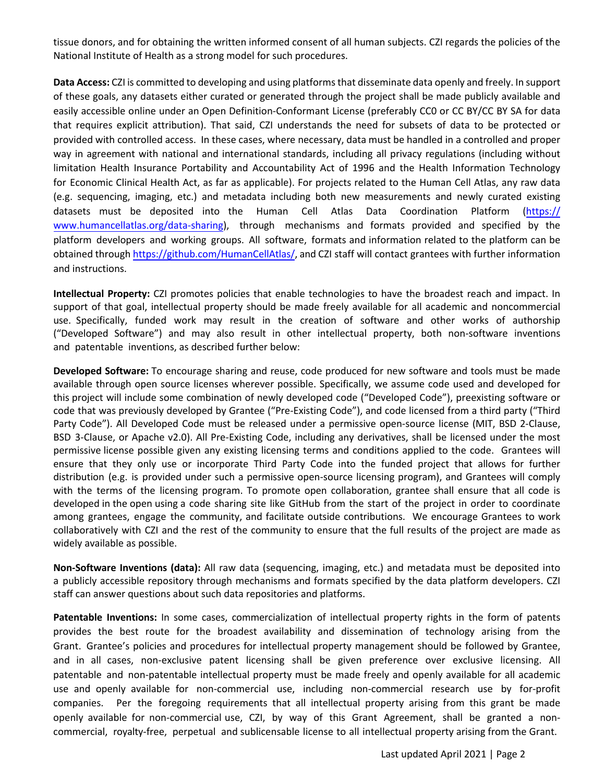tissue donors, and for obtaining the written informed consent of all human subjects. CZI regards the policies of the National Institute of Health as a strong model for such procedures.

**Data Access:** CZI is committed to developing and using platforms that disseminate data openly and freely. In support of these goals, any datasets either curated or generated through the project shall be made publicly available and easily accessible online under an Open Definition-Conformant License (preferably CC0 or CC BY/CC BY SA for data that requires explicit attribution). That said, CZI understands the need for subsets of data to be protected or provided with controlled access. In these cases, where necessary, data must be handled in a controlled and proper way in agreement with national and international standards, including all privacy regulations (including without limitation Health Insurance Portability and Accountability Act of 1996 and the Health Information Technology for Economic Clinical Health Act, as far as applicable). For projects related to the Human Cell Atlas, any raw data (e.g. sequencing, imaging, etc.) and metadata including both new measurements and newly curated existing datasets must be deposited into the Human Cell Atlas Data Coordination Platform (https:// [www.humancellatlas.org/data-sharing\), through mechanisms and formats provided and specified by the](https://www.humancellatlas.org/data-sharing) platform developers and working groups. All software, formats and information related to the platform can be obtained throug[h https://github.com/HumanCellAtlas/,](https://github.com/HumanCellAtlas/) and CZI staff will contact grantees with further information and instructions.

**Intellectual Property:** CZI promotes policies that enable technologies to have the broadest reach and impact. In support of that goal, intellectual property should be made freely available for all academic and noncommercial use. Specifically, funded work may result in the creation of software and other works of authorship ("Developed Software") and may also result in other intellectual property, both non-software inventions and patentable inventions, as described further below:

**Developed Software:** To encourage sharing and reuse, code produced for new software and tools must be made available through open source licenses wherever possible. Specifically, we assume code used and developed for this project will include some combination of newly developed code ("Developed Code"), preexisting software or code that was previously developed by Grantee ("Pre-Existing Code"), and code licensed from a third party ("Third Party Code"). All Developed Code must be released under a permissive open-source license (MIT, BSD 2-Clause, BSD 3-Clause, or Apache v2.0). All Pre-Existing Code, including any derivatives, shall be licensed under the most permissive license possible given any existing licensing terms and conditions applied to the code. Grantees will ensure that they only use or incorporate Third Party Code into the funded project that allows for further distribution (e.g. is provided under such a permissive open-source licensing program), and Grantees will comply with the terms of the licensing program. To promote open collaboration, grantee shall ensure that all code is developed in the open using a code sharing site like GitHub from the start of the project in order to coordinate among grantees, engage the community, and facilitate outside contributions. We encourage Grantees to work collaboratively with CZI and the rest of the community to ensure that the full results of the project are made as widely available as possible.

**Non-Software Inventions (data):** All raw data (sequencing, imaging, etc.) and metadata must be deposited into a publicly accessible repository through mechanisms and formats specified by the data platform developers. CZI staff can answer questions about such data repositories and platforms.

**Patentable Inventions:** In some cases, commercialization of intellectual property rights in the form of patents provides the best route for the broadest availability and dissemination of technology arising from the Grant. Grantee's policies and procedures for intellectual property management should be followed by Grantee, and in all cases, non-exclusive patent licensing shall be given preference over exclusive licensing. All patentable and non-patentable intellectual property must be made freely and openly available for all academic use and openly available for non-commercial use, including non-commercial research use by for-profit companies. Per the foregoing requirements that all intellectual property arising from this grant be made openly available for non-commercial use, CZI, by way of this Grant Agreement, shall be granted a noncommercial, royalty-free, perpetual and sublicensable license to all intellectual property arising from the Grant.